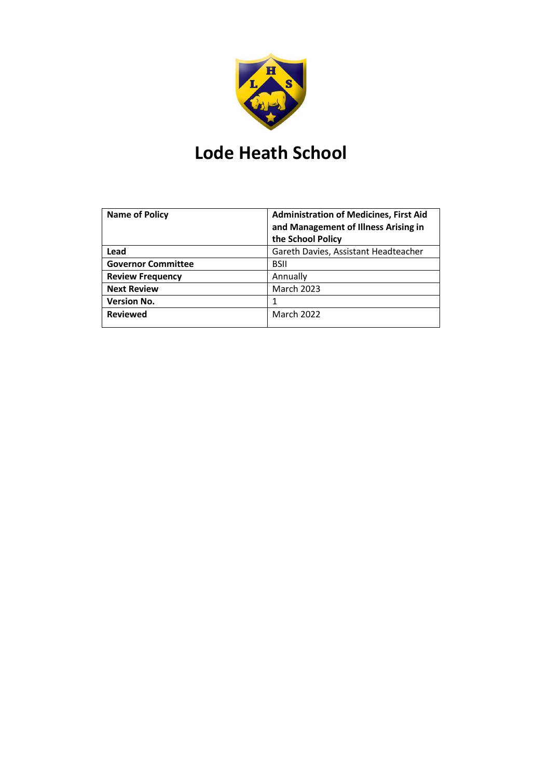

# **Lode Heath School**

| <b>Name of Policy</b>     | <b>Administration of Medicines, First Aid</b><br>and Management of Illness Arising in<br>the School Policy |
|---------------------------|------------------------------------------------------------------------------------------------------------|
| Lead                      | Gareth Davies, Assistant Headteacher                                                                       |
| <b>Governor Committee</b> | <b>BSII</b>                                                                                                |
| <b>Review Frequency</b>   | Annually                                                                                                   |
| <b>Next Review</b>        | <b>March 2023</b>                                                                                          |
| <b>Version No.</b>        |                                                                                                            |
| <b>Reviewed</b>           | <b>March 2022</b>                                                                                          |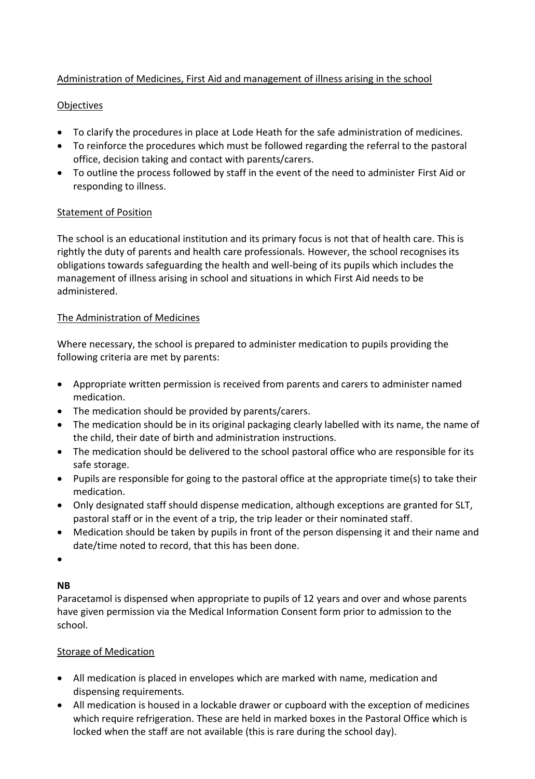# Administration of Medicines, First Aid and management of illness arising in the school

## Objectives

- To clarify the procedures in place at Lode Heath for the safe administration of medicines.
- To reinforce the procedures which must be followed regarding the referral to the pastoral office, decision taking and contact with parents/carers.
- To outline the process followed by staff in the event of the need to administer First Aid or responding to illness.

#### Statement of Position

The school is an educational institution and its primary focus is not that of health care. This is rightly the duty of parents and health care professionals. However, the school recognises its obligations towards safeguarding the health and well-being of its pupils which includes the management of illness arising in school and situations in which First Aid needs to be administered.

#### The Administration of Medicines

Where necessary, the school is prepared to administer medication to pupils providing the following criteria are met by parents:

- Appropriate written permission is received from parents and carers to administer named medication.
- The medication should be provided by parents/carers.
- The medication should be in its original packaging clearly labelled with its name, the name of the child, their date of birth and administration instructions.
- The medication should be delivered to the school pastoral office who are responsible for its safe storage.
- Pupils are responsible for going to the pastoral office at the appropriate time(s) to take their medication.
- Only designated staff should dispense medication, although exceptions are granted for SLT, pastoral staff or in the event of a trip, the trip leader or their nominated staff.
- Medication should be taken by pupils in front of the person dispensing it and their name and date/time noted to record, that this has been done.

•

## **NB**

Paracetamol is dispensed when appropriate to pupils of 12 years and over and whose parents have given permission via the Medical Information Consent form prior to admission to the school.

#### Storage of Medication

- All medication is placed in envelopes which are marked with name, medication and dispensing requirements.
- All medication is housed in a lockable drawer or cupboard with the exception of medicines which require refrigeration. These are held in marked boxes in the Pastoral Office which is locked when the staff are not available (this is rare during the school day).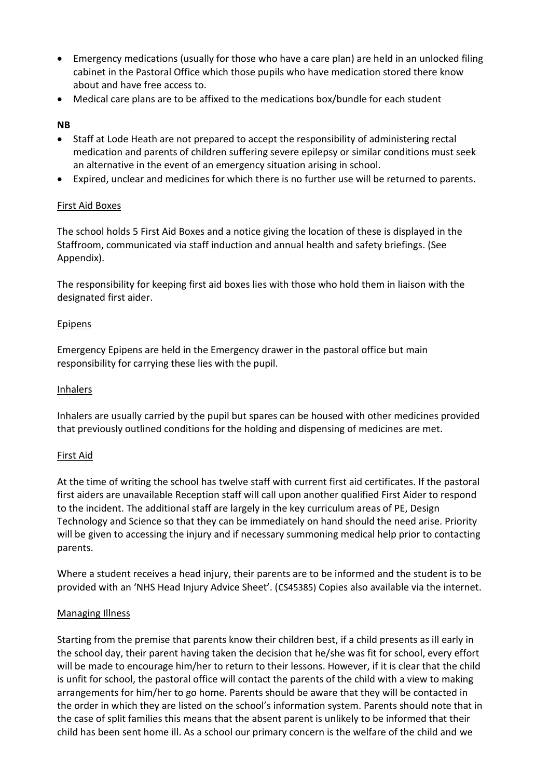- Emergency medications (usually for those who have a care plan) are held in an unlocked filing cabinet in the Pastoral Office which those pupils who have medication stored there know about and have free access to.
- Medical care plans are to be affixed to the medications box/bundle for each student

#### **NB**

- Staff at Lode Heath are not prepared to accept the responsibility of administering rectal medication and parents of children suffering severe epilepsy or similar conditions must seek an alternative in the event of an emergency situation arising in school.
- Expired, unclear and medicines for which there is no further use will be returned to parents.

#### First Aid Boxes

The school holds 5 First Aid Boxes and a notice giving the location of these is displayed in the Staffroom, communicated via staff induction and annual health and safety briefings. (See Appendix).

The responsibility for keeping first aid boxes lies with those who hold them in liaison with the designated first aider.

#### **Epipens**

Emergency Epipens are held in the Emergency drawer in the pastoral office but main responsibility for carrying these lies with the pupil.

#### Inhalers

Inhalers are usually carried by the pupil but spares can be housed with other medicines provided that previously outlined conditions for the holding and dispensing of medicines are met.

#### First Aid

At the time of writing the school has twelve staff with current first aid certificates. If the pastoral first aiders are unavailable Reception staff will call upon another qualified First Aider to respond to the incident. The additional staff are largely in the key curriculum areas of PE, Design Technology and Science so that they can be immediately on hand should the need arise. Priority will be given to accessing the injury and if necessary summoning medical help prior to contacting parents.

Where a student receives a head injury, their parents are to be informed and the student is to be provided with an 'NHS Head Injury Advice Sheet'. (CS45385) Copies also available via the internet.

#### Managing Illness

Starting from the premise that parents know their children best, if a child presents as ill early in the school day, their parent having taken the decision that he/she was fit for school, every effort will be made to encourage him/her to return to their lessons. However, if it is clear that the child is unfit for school, the pastoral office will contact the parents of the child with a view to making arrangements for him/her to go home. Parents should be aware that they will be contacted in the order in which they are listed on the school's information system. Parents should note that in the case of split families this means that the absent parent is unlikely to be informed that their child has been sent home ill. As a school our primary concern is the welfare of the child and we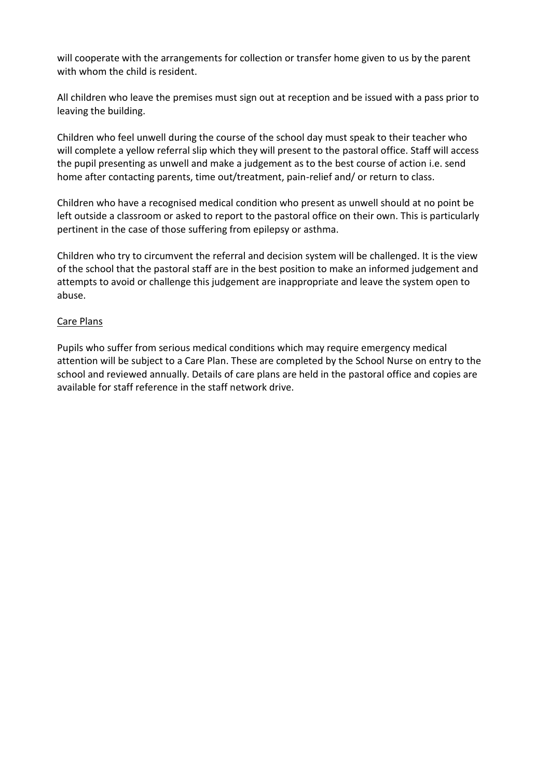will cooperate with the arrangements for collection or transfer home given to us by the parent with whom the child is resident.

All children who leave the premises must sign out at reception and be issued with a pass prior to leaving the building.

Children who feel unwell during the course of the school day must speak to their teacher who will complete a yellow referral slip which they will present to the pastoral office. Staff will access the pupil presenting as unwell and make a judgement as to the best course of action i.e. send home after contacting parents, time out/treatment, pain-relief and/ or return to class.

Children who have a recognised medical condition who present as unwell should at no point be left outside a classroom or asked to report to the pastoral office on their own. This is particularly pertinent in the case of those suffering from epilepsy or asthma.

Children who try to circumvent the referral and decision system will be challenged. It is the view of the school that the pastoral staff are in the best position to make an informed judgement and attempts to avoid or challenge this judgement are inappropriate and leave the system open to abuse.

#### Care Plans

Pupils who suffer from serious medical conditions which may require emergency medical attention will be subject to a Care Plan. These are completed by the School Nurse on entry to the school and reviewed annually. Details of care plans are held in the pastoral office and copies are available for staff reference in the staff network drive.